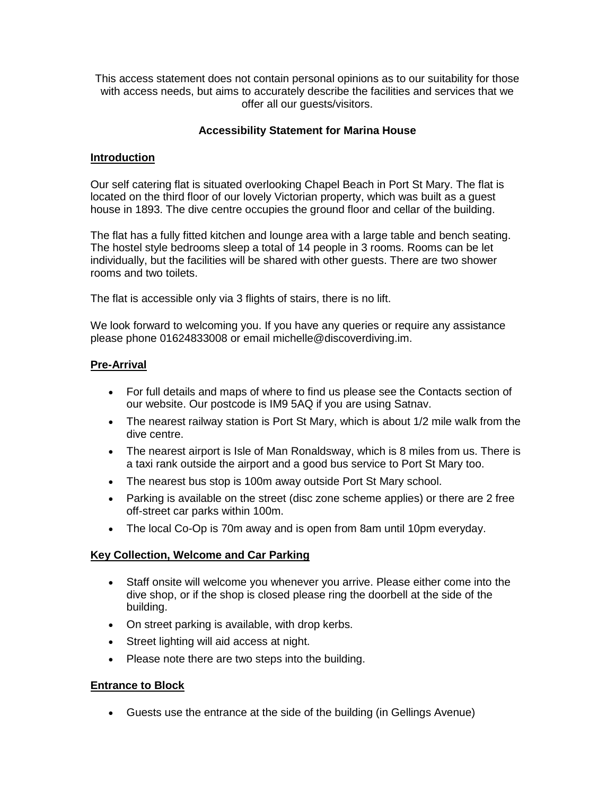This access statement does not contain personal opinions as to our suitability for those with access needs, but aims to accurately describe the facilities and services that we offer all our guests/visitors.

## **Accessibility Statement for Marina House**

#### **Introduction**

Our self catering flat is situated overlooking Chapel Beach in Port St Mary. The flat is located on the third floor of our lovely Victorian property, which was built as a guest house in 1893. The dive centre occupies the ground floor and cellar of the building.

The flat has a fully fitted kitchen and lounge area with a large table and bench seating. The hostel style bedrooms sleep a total of 14 people in 3 rooms. Rooms can be let individually, but the facilities will be shared with other guests. There are two shower rooms and two toilets.

The flat is accessible only via 3 flights of stairs, there is no lift.

We look forward to welcoming you. If you have any queries or require any assistance please phone 01624833008 or email michelle@discoverdiving.im.

#### **Pre-Arrival**

- For full details and maps of where to find us please see the Contacts section of our website. Our postcode is IM9 5AQ if you are using Satnav.
- The nearest railway station is Port St Mary, which is about 1/2 mile walk from the dive centre.
- The nearest airport is Isle of Man Ronaldsway, which is 8 miles from us. There is a taxi rank outside the airport and a good bus service to Port St Mary too.
- The nearest bus stop is 100m away outside Port St Mary school.
- Parking is available on the street (disc zone scheme applies) or there are 2 free off-street car parks within 100m.
- The local Co-Op is 70m away and is open from 8am until 10pm everyday.

## **Key Collection, Welcome and Car Parking**

- Staff onsite will welcome you whenever you arrive. Please either come into the dive shop, or if the shop is closed please ring the doorbell at the side of the building.
- On street parking is available, with drop kerbs.
- Street lighting will aid access at night.
- Please note there are two steps into the building.

#### **Entrance to Block**

Guests use the entrance at the side of the building (in Gellings Avenue)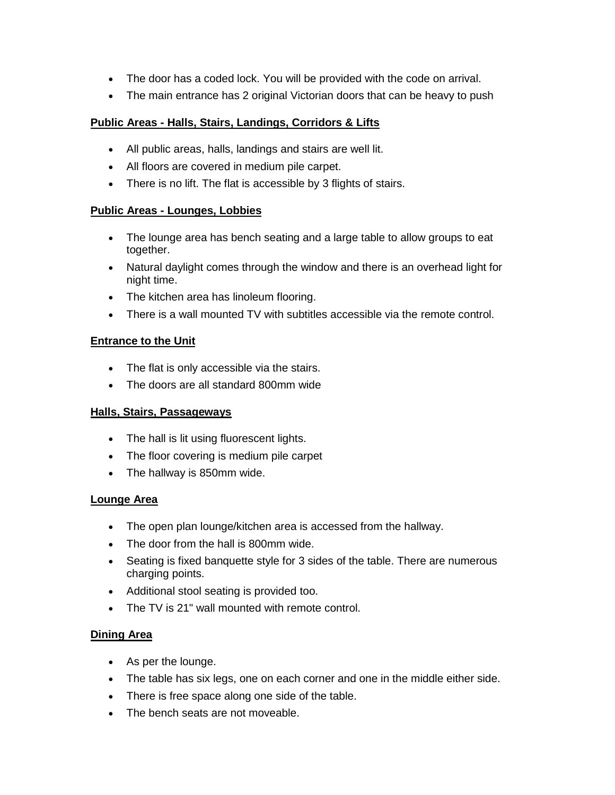- The door has a coded lock. You will be provided with the code on arrival.
- The main entrance has 2 original Victorian doors that can be heavy to push

# **Public Areas - Halls, Stairs, Landings, Corridors & Lifts**

- All public areas, halls, landings and stairs are well lit.
- All floors are covered in medium pile carpet.
- There is no lift. The flat is accessible by 3 flights of stairs.

# **Public Areas - Lounges, Lobbies**

- The lounge area has bench seating and a large table to allow groups to eat together.
- Natural daylight comes through the window and there is an overhead light for night time.
- The kitchen area has linoleum flooring.
- There is a wall mounted TV with subtitles accessible via the remote control.

# **Entrance to the Unit**

- The flat is only accessible via the stairs.
- The doors are all standard 800mm wide

# **Halls, Stairs, Passageways**

- The hall is lit using fluorescent lights.
- The floor covering is medium pile carpet
- The hallway is 850mm wide.

# **Lounge Area**

- The open plan lounge/kitchen area is accessed from the hallway.
- The door from the hall is 800mm wide.
- Seating is fixed banquette style for 3 sides of the table. There are numerous charging points.
- Additional stool seating is provided too.
- The TV is 21" wall mounted with remote control.

# **Dining Area**

- As per the lounge.
- The table has six legs, one on each corner and one in the middle either side.
- There is free space along one side of the table.
- The bench seats are not moveable.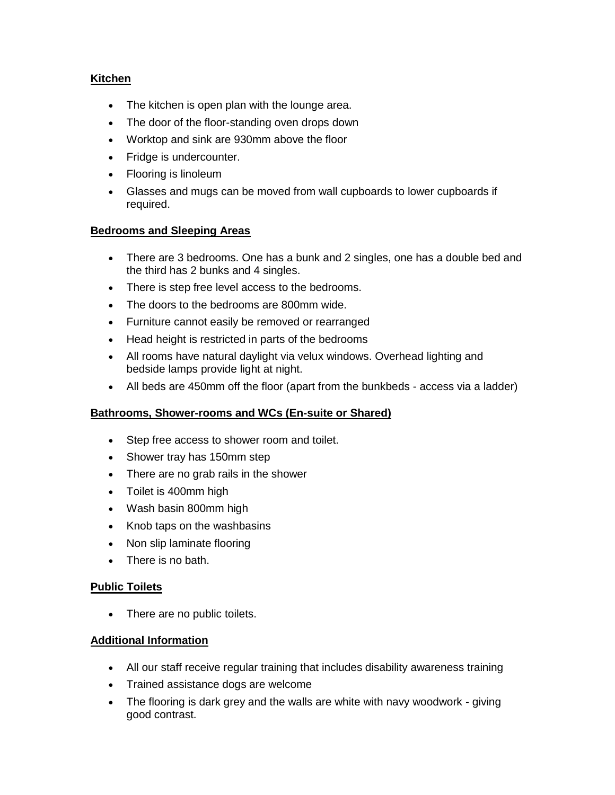# **Kitchen**

- The kitchen is open plan with the lounge area.
- The door of the floor-standing oven drops down
- Worktop and sink are 930mm above the floor
- Fridge is undercounter.
- Flooring is linoleum
- Glasses and mugs can be moved from wall cupboards to lower cupboards if required.

## **Bedrooms and Sleeping Areas**

- There are 3 bedrooms. One has a bunk and 2 singles, one has a double bed and the third has 2 bunks and 4 singles.
- There is step free level access to the bedrooms.
- The doors to the bedrooms are 800mm wide.
- Furniture cannot easily be removed or rearranged
- Head height is restricted in parts of the bedrooms
- All rooms have natural daylight via velux windows. Overhead lighting and bedside lamps provide light at night.
- All beds are 450mm off the floor (apart from the bunkbeds access via a ladder)

## **Bathrooms, Shower-rooms and WCs (En-suite or Shared)**

- Step free access to shower room and toilet.
- Shower tray has 150mm step
- There are no grab rails in the shower
- Toilet is 400mm high
- Wash basin 800mm high
- Knob taps on the washbasins
- Non slip laminate flooring
- There is no bath.

## **Public Toilets**

• There are no public toilets.

## **Additional Information**

- All our staff receive regular training that includes disability awareness training
- Trained assistance dogs are welcome
- The flooring is dark grey and the walls are white with navy woodwork giving good contrast.